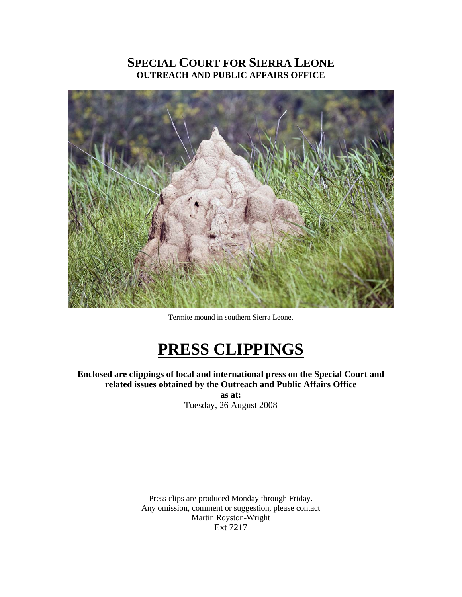# **SPECIAL COURT FOR SIERRA LEONE OUTREACH AND PUBLIC AFFAIRS OFFICE**



Termite mound in southern Sierra Leone.

# **PRESS CLIPPINGS**

**Enclosed are clippings of local and international press on the Special Court and related issues obtained by the Outreach and Public Affairs Office** 

**as at:**  Tuesday, 26 August 2008

Press clips are produced Monday through Friday. Any omission, comment or suggestion, please contact Martin Royston-Wright Ext 7217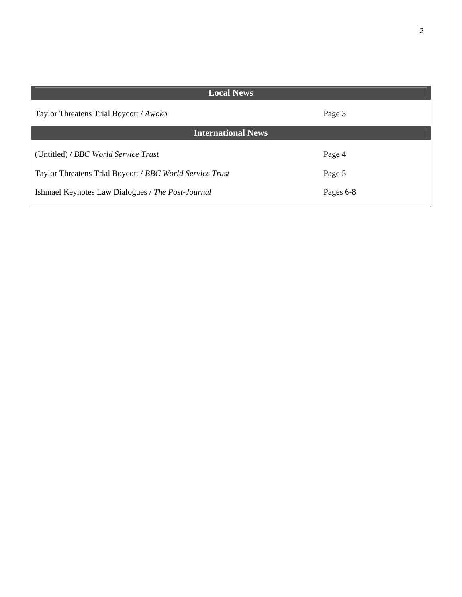| <b>Local News</b>                                        |           |
|----------------------------------------------------------|-----------|
| Taylor Threatens Trial Boycott / Awoko                   | Page 3    |
| <b>International News</b>                                |           |
| (Untitled) / BBC World Service Trust                     | Page 4    |
| Taylor Threatens Trial Boycott / BBC World Service Trust | Page 5    |
| Ishmael Keynotes Law Dialogues / The Post-Journal        | Pages 6-8 |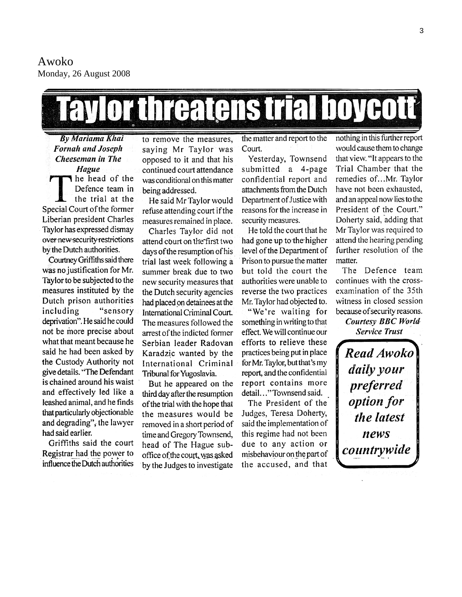Awoko Monday, 26 August 2008

# Lay orthreatens trial boyeott

**By Mariama Khai Fornah and Joseph** Cheeseman in The Hague he head of the Defence team in the trial at the Special Court of the former Liberian president Charles Taylor has expressed dismay over new security restrictions by the Dutch authorities.

Courtney Griffiths said there was no justification for Mr. Taylor to be subjected to the measures instituted by the Dutch prison authorities "sensory including deprivation". He said he could not be more precise about what that meant because he said he had been asked by the Custody Authority not give details. "The Defendant is chained around his waist and effectively led like a leashed animal, and he finds that particularly objectionable and degrading", the lawyer had said earlier.

Griffiths said the court Registrar had the power to influence the Dutch authorities

to remove the measures, saying Mr Taylor was opposed to it and that his continued court attendance was conditional on this matter being addressed.

He said Mr Taylor would refuse attending court if the measures remained in place.

Charles Taylor did not attend court on the first two days of the resumption of his trial last week following a summer break due to two new security measures that the Dutch security agencies had placed on detainees at the International Criminal Court. The measures followed the arrest of the indicted former Serbian leader Radovan Karadzic wanted by the International Criminal Tribunal for Yugoslavia.

But he appeared on the third day after the resumption of the trial with the hope that the measures would be removed in a short period of time and Gregory Townsend, head of The Hague suboffice of the court, was asked by the Judges to investigate

the matter and report to the Court.

Yesterday, Townsend submitted a 4-page confidential report and attachments from the Dutch Department of Justice with reasons for the increase in security measures.

He told the court that he had gone up to the higher level of the Department of Prison to pursue the matter but told the court the authorities were unable to reverse the two practices Mr. Taylor had objected to.

"We're waiting for something in writing to that effect. We will continue our efforts to relieve these practices being put in place for Mr. Taylor, but that's my report, and the confidential report contains more detail..." Townsend said.

The President of the Judges, Teresa Doherty, said the implementation of this regime had not been due to any action or misbehaviour on the part of the accused, and that

nothing in this further report would cause them to change that view. "It appears to the Trial Chamber that the remedies of...Mr. Taylor have not been exhausted, and an appeal now lies to the President of the Court." Doherty said, adding that Mr Taylor was required to attend the hearing pending further resolution of the matter.

The Defence team continues with the crossexamination of the 35th witness in closed session because of security reasons.

**Courtesy BBC World Service Trust** 

**Read Awoko** daily your preferred option for the latest news countrywide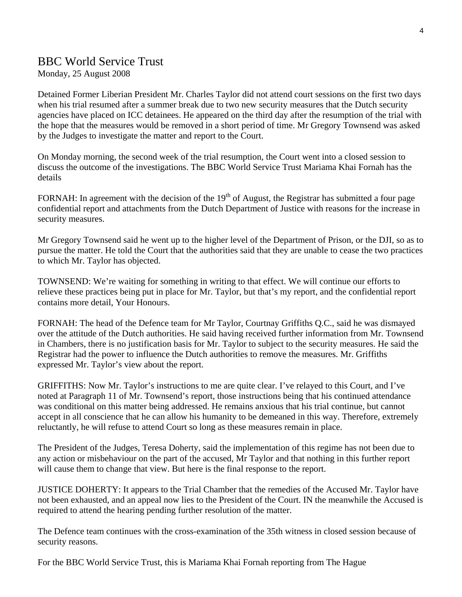## BBC World Service Trust

Monday, 25 August 2008

Detained Former Liberian President Mr. Charles Taylor did not attend court sessions on the first two days when his trial resumed after a summer break due to two new security measures that the Dutch security agencies have placed on ICC detainees. He appeared on the third day after the resumption of the trial with the hope that the measures would be removed in a short period of time. Mr Gregory Townsend was asked by the Judges to investigate the matter and report to the Court.

On Monday morning, the second week of the trial resumption, the Court went into a closed session to discuss the outcome of the investigations. The BBC World Service Trust Mariama Khai Fornah has the details

FORNAH: In agreement with the decision of the 19<sup>th</sup> of August, the Registrar has submitted a four page confidential report and attachments from the Dutch Department of Justice with reasons for the increase in security measures.

Mr Gregory Townsend said he went up to the higher level of the Department of Prison, or the DJI, so as to pursue the matter. He told the Court that the authorities said that they are unable to cease the two practices to which Mr. Taylor has objected.

TOWNSEND: We're waiting for something in writing to that effect. We will continue our efforts to relieve these practices being put in place for Mr. Taylor, but that's my report, and the confidential report contains more detail, Your Honours.

FORNAH: The head of the Defence team for Mr Taylor, Courtnay Griffiths Q.C., said he was dismayed over the attitude of the Dutch authorities. He said having received further information from Mr. Townsend in Chambers, there is no justification basis for Mr. Taylor to subject to the security measures. He said the Registrar had the power to influence the Dutch authorities to remove the measures. Mr. Griffiths expressed Mr. Taylor's view about the report.

GRIFFITHS: Now Mr. Taylor's instructions to me are quite clear. I've relayed to this Court, and I've noted at Paragraph 11 of Mr. Townsend's report, those instructions being that his continued attendance was conditional on this matter being addressed. He remains anxious that his trial continue, but cannot accept in all conscience that he can allow his humanity to be demeaned in this way. Therefore, extremely reluctantly, he will refuse to attend Court so long as these measures remain in place.

The President of the Judges, Teresa Doherty, said the implementation of this regime has not been due to any action or misbehaviour on the part of the accused, Mr Taylor and that nothing in this further report will cause them to change that view. But here is the final response to the report.

JUSTICE DOHERTY: It appears to the Trial Chamber that the remedies of the Accused Mr. Taylor have not been exhausted, and an appeal now lies to the President of the Court. IN the meanwhile the Accused is required to attend the hearing pending further resolution of the matter.

The Defence team continues with the cross-examination of the 35th witness in closed session because of security reasons.

For the BBC World Service Trust, this is Mariama Khai Fornah reporting from The Hague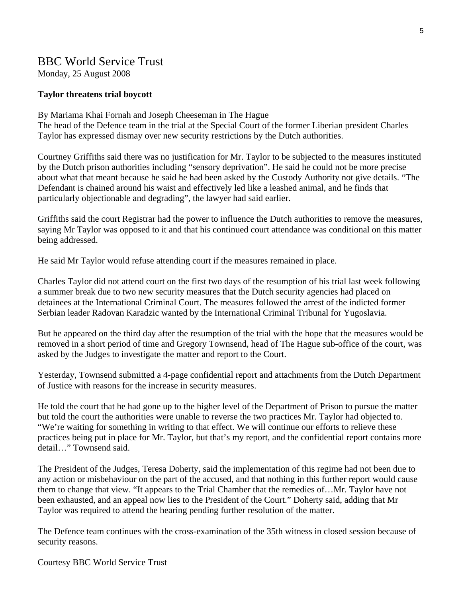### BBC World Service Trust

Monday, 25 August 2008

#### **Taylor threatens trial boycott**

By Mariama Khai Fornah and Joseph Cheeseman in The Hague

The head of the Defence team in the trial at the Special Court of the former Liberian president Charles Taylor has expressed dismay over new security restrictions by the Dutch authorities.

Courtney Griffiths said there was no justification for Mr. Taylor to be subjected to the measures instituted by the Dutch prison authorities including "sensory deprivation". He said he could not be more precise about what that meant because he said he had been asked by the Custody Authority not give details. "The Defendant is chained around his waist and effectively led like a leashed animal, and he finds that particularly objectionable and degrading", the lawyer had said earlier.

Griffiths said the court Registrar had the power to influence the Dutch authorities to remove the measures, saying Mr Taylor was opposed to it and that his continued court attendance was conditional on this matter being addressed.

He said Mr Taylor would refuse attending court if the measures remained in place.

Charles Taylor did not attend court on the first two days of the resumption of his trial last week following a summer break due to two new security measures that the Dutch security agencies had placed on detainees at the International Criminal Court. The measures followed the arrest of the indicted former Serbian leader Radovan Karadzic wanted by the International Criminal Tribunal for Yugoslavia.

But he appeared on the third day after the resumption of the trial with the hope that the measures would be removed in a short period of time and Gregory Townsend, head of The Hague sub-office of the court, was asked by the Judges to investigate the matter and report to the Court.

Yesterday, Townsend submitted a 4-page confidential report and attachments from the Dutch Department of Justice with reasons for the increase in security measures.

He told the court that he had gone up to the higher level of the Department of Prison to pursue the matter but told the court the authorities were unable to reverse the two practices Mr. Taylor had objected to. "We're waiting for something in writing to that effect. We will continue our efforts to relieve these practices being put in place for Mr. Taylor, but that's my report, and the confidential report contains more detail…" Townsend said.

The President of the Judges, Teresa Doherty, said the implementation of this regime had not been due to any action or misbehaviour on the part of the accused, and that nothing in this further report would cause them to change that view. "It appears to the Trial Chamber that the remedies of…Mr. Taylor have not been exhausted, and an appeal now lies to the President of the Court." Doherty said, adding that Mr Taylor was required to attend the hearing pending further resolution of the matter.

The Defence team continues with the cross-examination of the 35th witness in closed session because of security reasons.

Courtesy BBC World Service Trust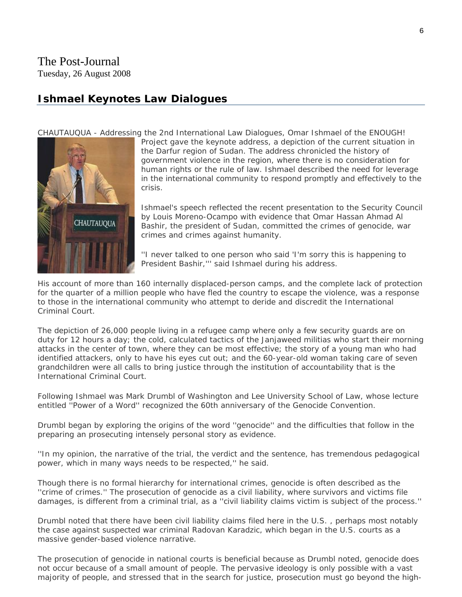#### **Ishmael Keynotes Law Dialogues**

[CHAUTAUQUA - Addressing](javascript:PopupPic() the 2nd International Law Dialogues, Omar Ishmael of the ENOUGH!



Project gave the keynote address, a depiction of the current situation in the Darfur region of Sudan. The address chronicled the history of government violence in the region, where there is no consideration for human rights or the rule of law. Ishmael described the need for leverage in the international community to respond promptly and effectively to the crisis.

Ishmael's speech reflected the recent presentation to the Security Council by Louis Moreno-Ocampo with evidence that Omar Hassan Ahmad Al Bashir, the president of Sudan, committed the crimes of genocide, war crimes and crimes against humanity.

''I never talked to one person who said 'I'm sorry this is happening to President Bashir,''' said Ishmael during his address.

His account of more than 160 internally displaced-person camps, and the complete lack of protection for the quarter of a million people who have fled the country to escape the violence, was a response to those in the international community who attempt to deride and discredit the International Criminal Court.

The depiction of 26,000 people living in a refugee camp where only a few security guards are on duty for 12 hours a day; the cold, calculated tactics of the Janjaweed militias who start their morning attacks in the center of town, where they can be most effective; the story of a young man who had identified attackers, only to have his eyes cut out; and the 60-year-old woman taking care of seven grandchildren were all calls to bring justice through the institution of accountability that is the International Criminal Court.

Following Ishmael was Mark Drumbl of Washington and Lee University School of Law, whose lecture entitled ''Power of a Word'' recognized the 60th anniversary of the Genocide Convention.

Drumbl began by exploring the origins of the word ''genocide'' and the difficulties that follow in the preparing an prosecuting intensely personal story as evidence.

''In my opinion, the narrative of the trial, the verdict and the sentence, has tremendous pedagogical power, which in many ways needs to be respected,'' he said.

Though there is no formal hierarchy for international crimes, genocide is often described as the ''crime of crimes.'' The prosecution of genocide as a civil liability, where survivors and victims file damages, is different from a criminal trial, as a ''civil liability claims victim is subject of the process.''

Drumbl noted that there have been civil liability claims filed here in the U.S. , perhaps most notably the case against suspected war criminal Radovan Karadzic, which began in the U.S. courts as a massive gender-based violence narrative.

The prosecution of genocide in national courts is beneficial because as Drumbl noted, genocide does not occur because of a small amount of people. The pervasive ideology is only possible with a vast majority of people, and stressed that in the search for justice, prosecution must go beyond the high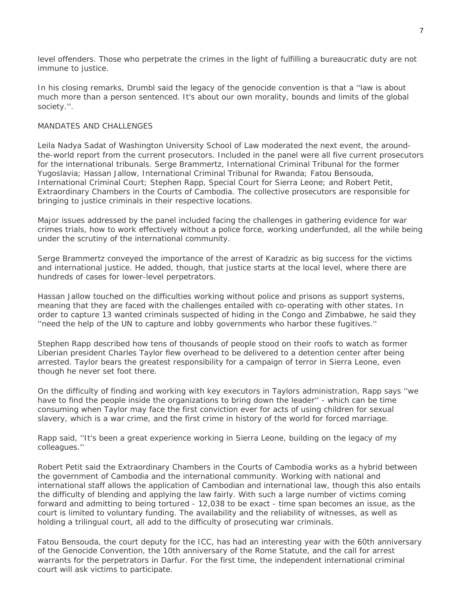level offenders. Those who perpetrate the crimes in the light of fulfilling a bureaucratic duty are not immune to justice.

In his closing remarks, Drumbl said the legacy of the genocide convention is that a ''law is about much more than a person sentenced. It's about our own morality, bounds and limits of the global society.''.

#### MANDATES AND CHALLENGES

Leila Nadya Sadat of Washington University School of Law moderated the next event, the aroundthe-world report from the current prosecutors. Included in the panel were all five current prosecutors for the international tribunals. Serge Brammertz, International Criminal Tribunal for the former Yugoslavia; Hassan Jallow, International Criminal Tribunal for Rwanda; Fatou Bensouda, International Criminal Court; Stephen Rapp, Special Court for Sierra Leone; and Robert Petit, Extraordinary Chambers in the Courts of Cambodia. The collective prosecutors are responsible for bringing to justice criminals in their respective locations.

Major issues addressed by the panel included facing the challenges in gathering evidence for war crimes trials, how to work effectively without a police force, working underfunded, all the while being under the scrutiny of the international community.

Serge Brammertz conveyed the importance of the arrest of Karadzic as big success for the victims and international justice. He added, though, that justice starts at the local level, where there are hundreds of cases for lower-level perpetrators.

Hassan Jallow touched on the difficulties working without police and prisons as support systems, meaning that they are faced with the challenges entailed with co-operating with other states. In order to capture 13 wanted criminals suspected of hiding in the Congo and Zimbabwe, he said they ''need the help of the UN to capture and lobby governments who harbor these fugitives.''

Stephen Rapp described how tens of thousands of people stood on their roofs to watch as former Liberian president Charles Taylor flew overhead to be delivered to a detention center after being arrested. Taylor bears the greatest responsibility for a campaign of terror in Sierra Leone, even though he never set foot there.

On the difficulty of finding and working with key executors in Taylors administration, Rapp says ''we have to find the people inside the organizations to bring down the leader'' - which can be time consuming when Taylor may face the first conviction ever for acts of using children for sexual slavery, which is a war crime, and the first crime in history of the world for forced marriage.

Rapp said, ''It's been a great experience working in Sierra Leone, building on the legacy of my colleagues.''

Robert Petit said the Extraordinary Chambers in the Courts of Cambodia works as a hybrid between the government of Cambodia and the international community. Working with national and international staff allows the application of Cambodian and international law, though this also entails the difficulty of blending and applying the law fairly. With such a large number of victims coming forward and admitting to being tortured - 12,038 to be exact - time span becomes an issue, as the court is limited to voluntary funding. The availability and the reliability of witnesses, as well as holding a trilingual court, all add to the difficulty of prosecuting war criminals.

Fatou Bensouda, the court deputy for the ICC, has had an interesting year with the 60th anniversary of the Genocide Convention, the 10th anniversary of the Rome Statute, and the call for arrest warrants for the perpetrators in Darfur. For the first time, the independent international criminal court will ask victims to participate.